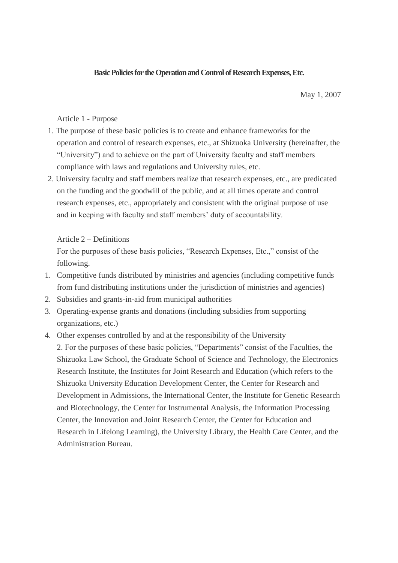## **Basic Policies for the Operation and Control of Research Expenses, Etc.**

May 1, 2007

Article 1 - Purpose

- 1. The purpose of these basic policies is to create and enhance frameworks for the operation and control of research expenses, etc., at Shizuoka University (hereinafter, the "University") and to achieve on the part of University faculty and staff members compliance with laws and regulations and University rules, etc.
- 2. University faculty and staff members realize that research expenses, etc., are predicated on the funding and the goodwill of the public, and at all times operate and control research expenses, etc., appropriately and consistent with the original purpose of use and in keeping with faculty and staff members' duty of accountability.

Article 2 – Definitions

For the purposes of these basis policies, "Research Expenses, Etc.," consist of the following.

- 1. Competitive funds distributed by ministries and agencies (including competitive funds from fund distributing institutions under the jurisdiction of ministries and agencies)
- 2. Subsidies and grants-in-aid from municipal authorities
- 3. Operating-expense grants and donations (including subsidies from supporting organizations, etc.)
- 4. Other expenses controlled by and at the responsibility of the University 2. For the purposes of these basic policies, "Departments" consist of the Faculties, the Shizuoka Law School, the Graduate School of Science and Technology, the Electronics Research Institute, the Institutes for Joint Research and Education (which refers to the Shizuoka University Education Development Center, the Center for Research and Development in Admissions, the International Center, the Institute for Genetic Research and Biotechnology, the Center for Instrumental Analysis, the Information Processing Center, the Innovation and Joint Research Center, the Center for Education and Research in Lifelong Learning), the University Library, the Health Care Center, and the Administration Bureau.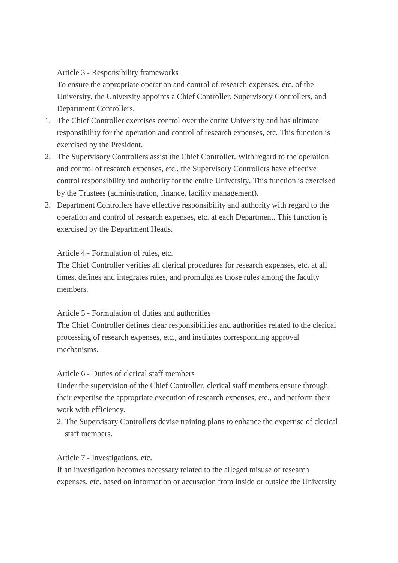Article 3 - Responsibility frameworks

To ensure the appropriate operation and control of research expenses, etc. of the University, the University appoints a Chief Controller, Supervisory Controllers, and Department Controllers.

- 1. The Chief Controller exercises control over the entire University and has ultimate responsibility for the operation and control of research expenses, etc. This function is exercised by the President.
- 2. The Supervisory Controllers assist the Chief Controller. With regard to the operation and control of research expenses, etc., the Supervisory Controllers have effective control responsibility and authority for the entire University. This function is exercised by the Trustees (administration, finance, facility management).
- 3. Department Controllers have effective responsibility and authority with regard to the operation and control of research expenses, etc. at each Department. This function is exercised by the Department Heads.

Article 4 - Formulation of rules, etc.

The Chief Controller verifies all clerical procedures for research expenses, etc. at all times, defines and integrates rules, and promulgates those rules among the faculty members.

Article 5 - Formulation of duties and authorities

The Chief Controller defines clear responsibilities and authorities related to the clerical processing of research expenses, etc., and institutes corresponding approval mechanisms.

Article 6 - Duties of clerical staff members

Under the supervision of the Chief Controller, clerical staff members ensure through their expertise the appropriate execution of research expenses, etc., and perform their work with efficiency.

2. The Supervisory Controllers devise training plans to enhance the expertise of clerical staff members.

Article 7 - Investigations, etc.

If an investigation becomes necessary related to the alleged misuse of research expenses, etc. based on information or accusation from inside or outside the University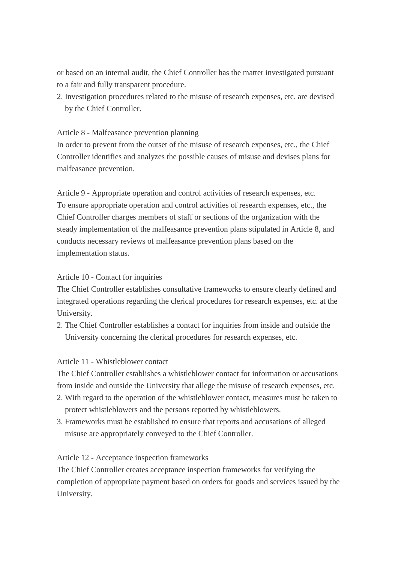or based on an internal audit, the Chief Controller has the matter investigated pursuant to a fair and fully transparent procedure.

2. Investigation procedures related to the misuse of research expenses, etc. are devised by the Chief Controller.

Article 8 - Malfeasance prevention planning

In order to prevent from the outset of the misuse of research expenses, etc., the Chief Controller identifies and analyzes the possible causes of misuse and devises plans for malfeasance prevention.

Article 9 - Appropriate operation and control activities of research expenses, etc. To ensure appropriate operation and control activities of research expenses, etc., the Chief Controller charges members of staff or sections of the organization with the steady implementation of the malfeasance prevention plans stipulated in Article 8, and conducts necessary reviews of malfeasance prevention plans based on the implementation status.

## Article 10 - Contact for inquiries

The Chief Controller establishes consultative frameworks to ensure clearly defined and integrated operations regarding the clerical procedures for research expenses, etc. at the University.

2. The Chief Controller establishes a contact for inquiries from inside and outside the University concerning the clerical procedures for research expenses, etc.

## Article 11 - Whistleblower contact

The Chief Controller establishes a whistleblower contact for information or accusations from inside and outside the University that allege the misuse of research expenses, etc.

- 2. With regard to the operation of the whistleblower contact, measures must be taken to protect whistleblowers and the persons reported by whistleblowers.
- 3. Frameworks must be established to ensure that reports and accusations of alleged misuse are appropriately conveyed to the Chief Controller.

## Article 12 - Acceptance inspection frameworks

The Chief Controller creates acceptance inspection frameworks for verifying the completion of appropriate payment based on orders for goods and services issued by the University.